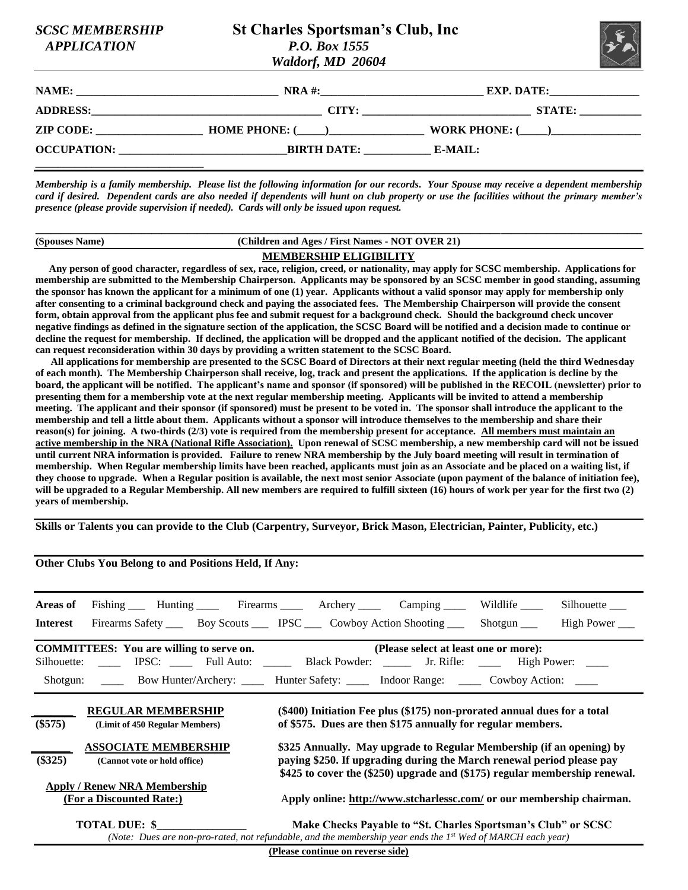| <b>SCSC MEMBERSHIP</b>   |
|--------------------------|
| A DDI I <i>ca Tion</i> i |

## **St Charles Sportsman's Club, Inc.**  *APPLICATION P.O. Box 1555 Waldorf, MD 20604*



| NAME:              | $NRA$ #:             | <b>EXP. DATE:</b>                                                                                |  |
|--------------------|----------------------|--------------------------------------------------------------------------------------------------|--|
| <b>ADDRESS:</b>    | CITY:                | <b>STATE:</b><br>the contract of the contract of the contract of the contract of the contract of |  |
| <b>ZIP CODE:</b>   | <b>HOME PHONE: (</b> | <b>WORK PHONE: (</b>                                                                             |  |
| <b>OCCUPATION:</b> | <b>BIRTH DATE:</b>   | E-MAIL:                                                                                          |  |

*Membership is a family membership. Please list the following information for our records. Your Spouse may receive a dependent membership card if desired. Dependent cards are also needed if dependents will hunt on club property or use the facilities without the primary member's presence (please provide supervision if needed). Cards will only be issued upon request.*

| (Spouses Name) | (Children and Ages / First Names - NOT OVER 21) |  |
|----------------|-------------------------------------------------|--|
|                | <b>MEMBERSHIP ELIGIBILITY</b>                   |  |

 **Any person of good character, regardless of sex, race, religion, creed, or nationality, may apply for SCSC membership. Applications for membership are submitted to the Membership Chairperson. Applicants may be sponsored by an SCSC member in good standing, assuming the sponsor has known the applicant for a minimum of one (1) year. Applicants without a valid sponsor may apply for membership only after consenting to a criminal background check and paying the associated fees. The Membership Chairperson will provide the consent form, obtain approval from the applicant plus fee and submit request for a background check. Should the background check uncover negative findings as defined in the signature section of the application, the SCSC Board will be notified and a decision made to continue or decline the request for membership. If declined, the application will be dropped and the applicant notified of the decision. The applicant can request reconsideration within 30 days by providing a written statement to the SCSC Board.** 

 **All applications for membership are presented to the SCSC Board of Directors at their next regular meeting (held the third Wednesday of each month). The Membership Chairperson shall receive, log, track and present the applications. If the application is decline by the board, the applicant will be notified. The applicant's name and sponsor (if sponsored) will be published in the RECOIL (newsletter) prior to presenting them for a membership vote at the next regular membership meeting. Applicants will be invited to attend a membership meeting. The applicant and their sponsor (if sponsored) must be present to be voted in. The sponsor shall introduce the applicant to the membership and tell a little about them. Applicants without a sponsor will introduce themselves to the membership and share their reason(s) for joining. A two-thirds (2/3) vote is required from the membership present for acceptance. All members must maintain an active membership in the NRA (National Rifle Association). Upon renewal of SCSC membership, a new membership card will not be issued until current NRA information is provided. Failure to renew NRA membership by the July board meeting will result in termination of membership. When Regular membership limits have been reached, applicants must join as an Associate and be placed on a waiting list, if they choose to upgrade. When a Regular position is available, the next most senior Associate (upon payment of the balance of initiation fee), will be upgraded to a Regular Membership. All new members are required to fulfill sixteen (16) hours of work per year for the first two (2) years of membership.** 

**Skills or Talents you can provide to the Club (Carpentry, Surveyor, Brick Mason, Electrician, Painter, Publicity, etc.)**

**Other Clubs You Belong to and Positions Held, If Any:**

| Areas of                                                                                                                                                                                                            | Fishing Hunting Firearms Archery Camping Mildlife                                                          |                                                                                                                                                                                                                             |  |  |                                                                                                                                                                              |  | Silhouette |
|---------------------------------------------------------------------------------------------------------------------------------------------------------------------------------------------------------------------|------------------------------------------------------------------------------------------------------------|-----------------------------------------------------------------------------------------------------------------------------------------------------------------------------------------------------------------------------|--|--|------------------------------------------------------------------------------------------------------------------------------------------------------------------------------|--|------------|
| <b>Interest</b>                                                                                                                                                                                                     | Firearms Safety _______ Boy Scouts _______ IPSC ______ Cowboy Action Shooting ________ Shotgun ____        |                                                                                                                                                                                                                             |  |  |                                                                                                                                                                              |  | High Power |
| <b>COMMITTEES:</b> You are willing to serve on.<br>(Please select at least one or more):<br>Silhouette: _____ IPSC: _____ Full Auto: _____ Black Powder: _____ Jr. Rifle: _____ High Power: ____                    |                                                                                                            |                                                                                                                                                                                                                             |  |  |                                                                                                                                                                              |  |            |
|                                                                                                                                                                                                                     | Shotgun: ______ Bow Hunter/Archery: ______ Hunter Safety: ______ Indoor Range: ______ Cowboy Action: _____ |                                                                                                                                                                                                                             |  |  |                                                                                                                                                                              |  |            |
| <b>REGULAR MEMBERSHIP</b><br>(\$400) Initiation Fee plus (\$175) non-prorated annual dues for a total<br>$(\$575)$<br>of \$575. Dues are then \$175 annually for regular members.<br>(Limit of 450 Regular Members) |                                                                                                            |                                                                                                                                                                                                                             |  |  |                                                                                                                                                                              |  |            |
| <b>ASSOCIATE MEMBERSHIP</b><br>$(\$325)$<br>(Cannot vote or hold office)                                                                                                                                            |                                                                                                            | \$325 Annually. May upgrade to Regular Membership (if an opening) by<br>paying \$250. If upgrading during the March renewal period please pay<br>\$425 to cover the (\$250) upgrade and (\$175) regular membership renewal. |  |  |                                                                                                                                                                              |  |            |
|                                                                                                                                                                                                                     | <b>Apply / Renew NRA Membership</b><br>(For a Discounted Rate:)                                            |                                                                                                                                                                                                                             |  |  | Apply online: http://www.stcharlessc.com/ or our membership chairman.                                                                                                        |  |            |
|                                                                                                                                                                                                                     | TOTAL DUE: \$                                                                                              |                                                                                                                                                                                                                             |  |  | Make Checks Payable to "St. Charles Sportsman's Club" or SCSC<br>(Note: Dues are non-pro-rated, not refundable, and the membership year ends the 1st Wed of MARCH each year) |  |            |

**(Please continue on reverse side)**